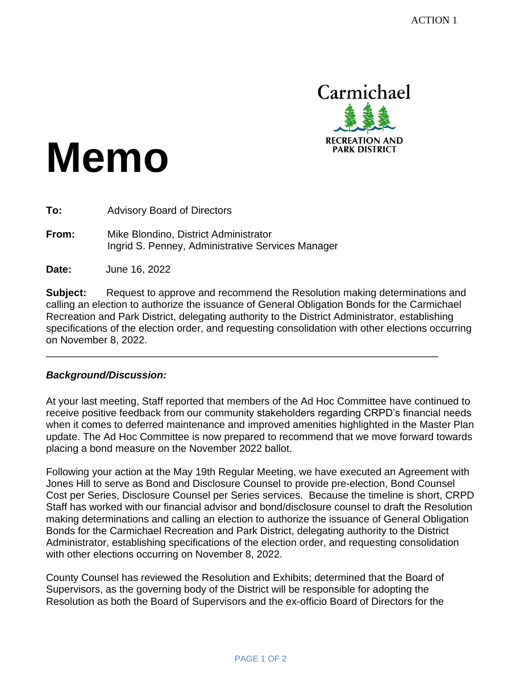

# **Memo**

**To:** Advisory Board of Directors

**From:** Mike Blondino, District Administrator Ingrid S. Penney, Administrative Services Manager

**Date:** June 16, 2022

**Subject:** Request to approve and recommend the Resolution making determinations and calling an election to authorize the issuance of General Obligation Bonds for the Carmichael Recreation and Park District, delegating authority to the District Administrator, establishing specifications of the election order, and requesting consolidation with other elections occurring on November 8, 2022.

\_\_\_\_\_\_\_\_\_\_\_\_\_\_\_\_\_\_\_\_\_\_\_\_\_\_\_\_\_\_\_\_\_\_\_\_\_\_\_\_\_\_\_\_\_\_\_\_\_\_\_\_\_\_\_\_\_\_\_\_\_\_\_\_\_\_\_\_\_

#### *Background/Discussion:*

At your last meeting, Staff reported that members of the Ad Hoc Committee have continued to receive positive feedback from our community stakeholders regarding CRPD's financial needs when it comes to deferred maintenance and improved amenities highlighted in the Master Plan update. The Ad Hoc Committee is now prepared to recommend that we move forward towards placing a bond measure on the November 2022 ballot.

Following your action at the May 19th Regular Meeting, we have executed an Agreement with Jones Hill to serve as Bond and Disclosure Counsel to provide pre-election, Bond Counsel Cost per Series, Disclosure Counsel per Series services. Because the timeline is short, CRPD Staff has worked with our financial advisor and bond/disclosure counsel to draft the Resolution making determinations and calling an election to authorize the issuance of General Obligation Bonds for the Carmichael Recreation and Park District, delegating authority to the District Administrator, establishing specifications of the election order, and requesting consolidation with other elections occurring on November 8, 2022.

County Counsel has reviewed the Resolution and Exhibits; determined that the Board of Supervisors, as the governing body of the District will be responsible for adopting the Resolution as both the Board of Supervisors and the ex-officio Board of Directors for the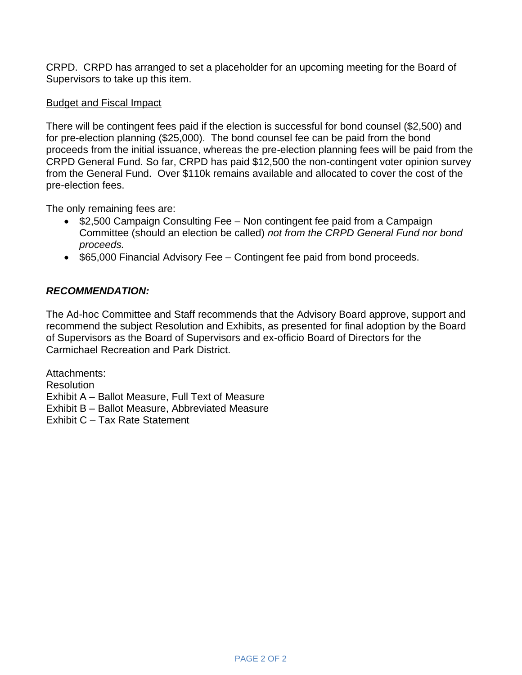CRPD. CRPD has arranged to set a placeholder for an upcoming meeting for the Board of Supervisors to take up this item.

#### Budget and Fiscal Impact

There will be contingent fees paid if the election is successful for bond counsel (\$2,500) and for pre-election planning (\$25,000). The bond counsel fee can be paid from the bond proceeds from the initial issuance, whereas the pre-election planning fees will be paid from the CRPD General Fund. So far, CRPD has paid \$12,500 the non-contingent voter opinion survey from the General Fund. Over \$110k remains available and allocated to cover the cost of the pre-election fees.

The only remaining fees are:

- \$2,500 Campaign Consulting Fee Non contingent fee paid from a Campaign Committee (should an election be called) *not from the CRPD General Fund nor bond proceeds.*
- \$65,000 Financial Advisory Fee Contingent fee paid from bond proceeds.

### *RECOMMENDATION:*

The Ad-hoc Committee and Staff recommends that the Advisory Board approve, support and recommend the subject Resolution and Exhibits, as presented for final adoption by the Board of Supervisors as the Board of Supervisors and ex-officio Board of Directors for the Carmichael Recreation and Park District.

Attachments: **Resolution** Exhibit A – Ballot Measure, Full Text of Measure Exhibit B – Ballot Measure, Abbreviated Measure Exhibit C – Tax Rate Statement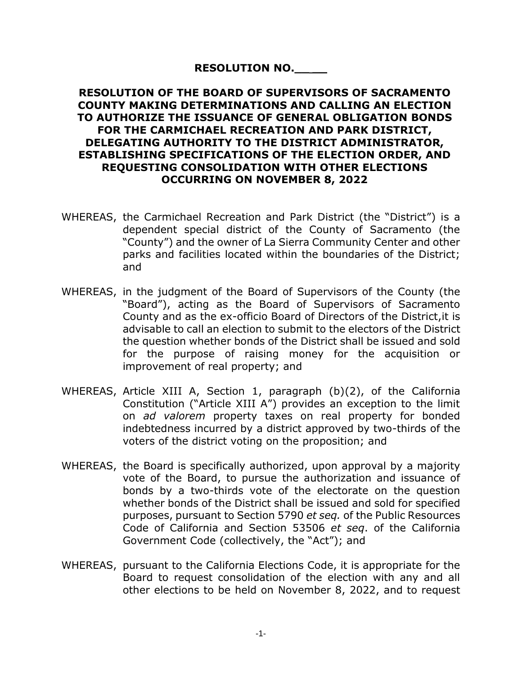# **RESOLUTION NO.\_\_ \_\_**

### **RESOLUTION OF THE BOARD OF SUPERVISORS OF SACRAMENTO COUNTY MAKING DETERMINATIONS AND CALLING AN ELECTION TO AUTHORIZE THE ISSUANCE OF GENERAL OBLIGATION BONDS FOR THE CARMICHAEL RECREATION AND PARK DISTRICT, DELEGATING AUTHORITY TO THE DISTRICT ADMINISTRATOR, ESTABLISHING SPECIFICATIONS OF THE ELECTION ORDER, AND REQUESTING CONSOLIDATION WITH OTHER ELECTIONS OCCURRING ON NOVEMBER 8, 2022**

- WHEREAS, the Carmichael Recreation and Park District (the "District") is a dependent special district of the County of Sacramento (the "County") and the owner of La Sierra Community Center and other parks and facilities located within the boundaries of the District; and
- WHEREAS, in the judgment of the Board of Supervisors of the County (the "Board"), acting as the Board of Supervisors of Sacramento County and as the ex-officio Board of Directors of the District,it is advisable to call an election to submit to the electors of the District the question whether bonds of the District shall be issued and sold for the purpose of raising money for the acquisition or improvement of real property; and
- WHEREAS, Article XIII A, Section 1, paragraph (b)(2), of the California Constitution ("Article XIII A") provides an exception to the limit on *ad valorem* property taxes on real property for bonded indebtedness incurred by a district approved by two-thirds of the voters of the district voting on the proposition; and
- WHEREAS, the Board is specifically authorized, upon approval by a majority vote of the Board, to pursue the authorization and issuance of bonds by a two-thirds vote of the electorate on the question whether bonds of the District shall be issued and sold for specified purposes, pursuant to Section 5790 *et seq.* of the Public Resources Code of California and Section 53506 *et seq*. of the California Government Code (collectively, the "Act"); and
- WHEREAS, pursuant to the California Elections Code, it is appropriate for the Board to request consolidation of the election with any and all other elections to be held on November 8, 2022, and to request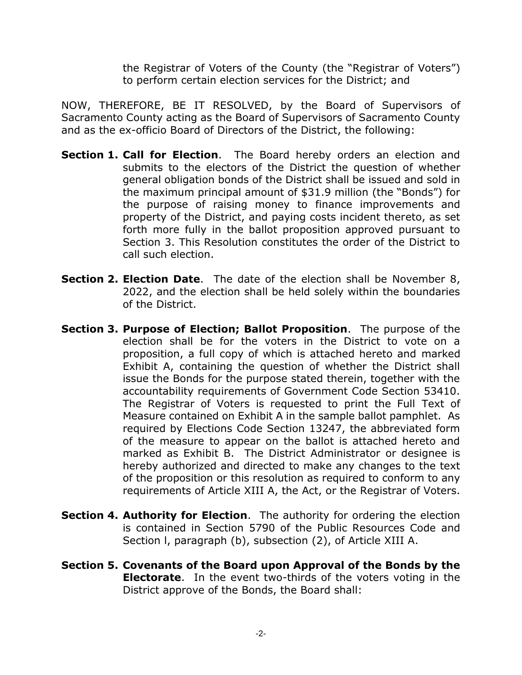the Registrar of Voters of the County (the "Registrar of Voters") to perform certain election services for the District; and

NOW, THEREFORE, BE IT RESOLVED, by the Board of Supervisors of Sacramento County acting as the Board of Supervisors of Sacramento County and as the ex-officio Board of Directors of the District, the following:

- **Section 1. Call for Election**. The Board hereby orders an election and submits to the electors of the District the question of whether general obligation bonds of the District shall be issued and sold in the maximum principal amount of \$31.9 million (the "Bonds") for the purpose of raising money to finance improvements and property of the District, and paying costs incident thereto, as set forth more fully in the ballot proposition approved pursuant to Section 3. This Resolution constitutes the order of the District to call such election.
- **Section 2. Election Date**. The date of the election shall be November 8, 2022, and the election shall be held solely within the boundaries of the District.
- **Section 3. Purpose of Election; Ballot Proposition**. The purpose of the election shall be for the voters in the District to vote on a proposition, a full copy of which is attached hereto and marked Exhibit A, containing the question of whether the District shall issue the Bonds for the purpose stated therein, together with the accountability requirements of Government Code Section 53410. The Registrar of Voters is requested to print the Full Text of Measure contained on Exhibit A in the sample ballot pamphlet. As required by Elections Code Section 13247, the abbreviated form of the measure to appear on the ballot is attached hereto and marked as Exhibit B. The District Administrator or designee is hereby authorized and directed to make any changes to the text of the proposition or this resolution as required to conform to any requirements of Article XIII A, the Act, or the Registrar of Voters.
- **Section 4. Authority for Election**. The authority for ordering the election is contained in Section 5790 of the Public Resources Code and Section l, paragraph (b), subsection (2), of Article XIII A.
- **Section 5. Covenants of the Board upon Approval of the Bonds by the Electorate**. In the event two-thirds of the voters voting in the District approve of the Bonds, the Board shall: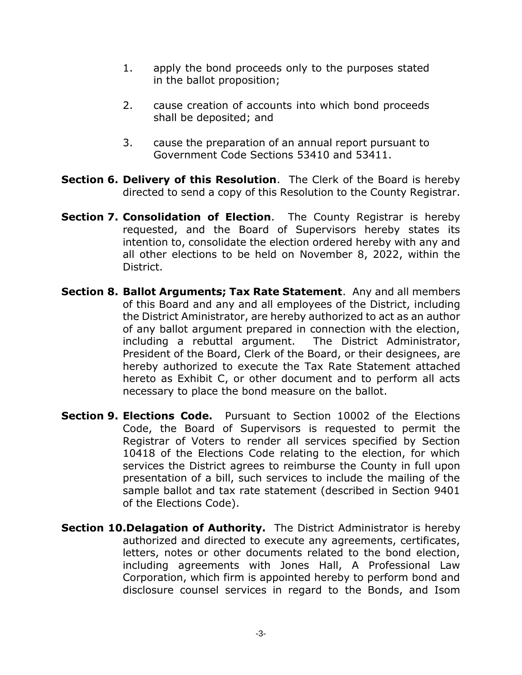- 1. apply the bond proceeds only to the purposes stated in the ballot proposition;
- 2. cause creation of accounts into which bond proceeds shall be deposited; and
- 3. cause the preparation of an annual report pursuant to Government Code Sections 53410 and 53411.
- **Section 6. Delivery of this Resolution**. The Clerk of the Board is hereby directed to send a copy of this Resolution to the County Registrar.
- **Section 7. Consolidation of Election**. The County Registrar is hereby requested, and the Board of Supervisors hereby states its intention to, consolidate the election ordered hereby with any and all other elections to be held on November 8, 2022, within the District.
- **Section 8. Ballot Arguments; Tax Rate Statement**. Any and all members of this Board and any and all employees of the District, including the District Aministrator, are hereby authorized to act as an author of any ballot argument prepared in connection with the election, including a rebuttal argument. The District Administrator, President of the Board, Clerk of the Board, or their designees, are hereby authorized to execute the Tax Rate Statement attached hereto as Exhibit C, or other document and to perform all acts necessary to place the bond measure on the ballot.
- **Section 9. Elections Code.** Pursuant to Section 10002 of the Elections Code, the Board of Supervisors is requested to permit the Registrar of Voters to render all services specified by Section 10418 of the Elections Code relating to the election, for which services the District agrees to reimburse the County in full upon presentation of a bill, such services to include the mailing of the sample ballot and tax rate statement (described in Section 9401 of the Elections Code).
- **Section 10.Delagation of Authority.** The District Administrator is hereby authorized and directed to execute any agreements, certificates, letters, notes or other documents related to the bond election, including agreements with Jones Hall, A Professional Law Corporation, which firm is appointed hereby to perform bond and disclosure counsel services in regard to the Bonds, and Isom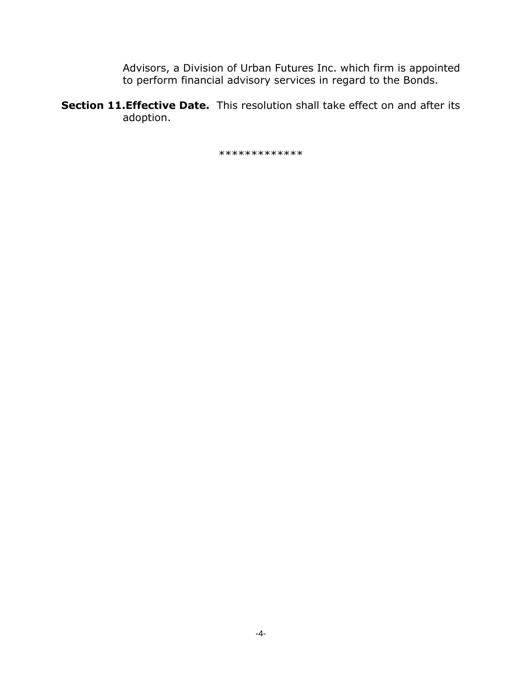Advisors, a Division of Urban Futures Inc. which firm is appointed to perform financial advisory services in regard to the Bonds.

**Section 11.Effective Date.** This resolution shall take effect on and after its adoption.

\*\*\*\*\*\*\*\*\*\*\*\*\*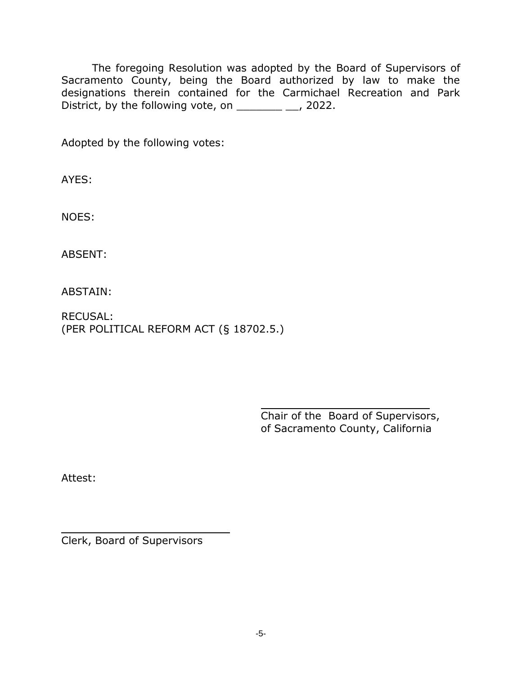The foregoing Resolution was adopted by the Board of Supervisors of Sacramento County, being the Board authorized by law to make the designations therein contained for the Carmichael Recreation and Park District, by the following vote, on  $\frac{1}{2}$ , 2022.

Adopted by the following votes:

AYES:

NOES:

ABSENT:

ABSTAIN:

RECUSAL: (PER POLITICAL REFORM ACT (§ 18702.5.)

> Chair of the Board of Supervisors, of Sacramento County, California

 $\frac{1}{2}$ 

Attest:

Clerk, Board of Supervisors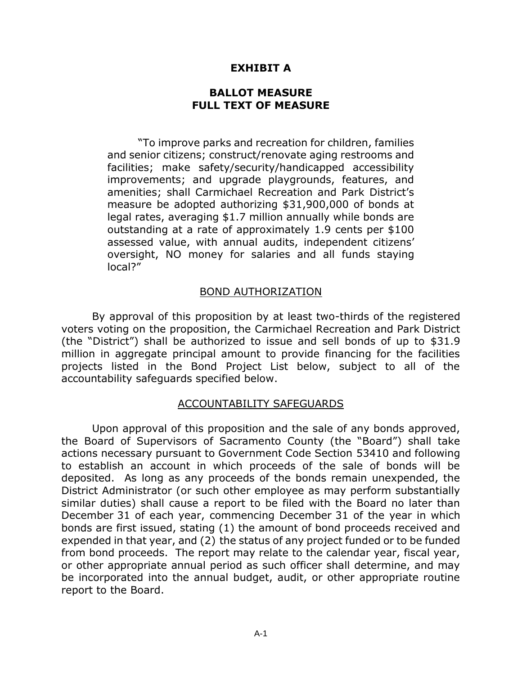# **EXHIBIT A**

#### **BALLOT MEASURE FULL TEXT OF MEASURE**

"To improve parks and recreation for children, families and senior citizens; construct/renovate aging restrooms and facilities; make safety/security/handicapped accessibility improvements; and upgrade playgrounds, features, and amenities; shall Carmichael Recreation and Park District's measure be adopted authorizing \$31,900,000 of bonds at legal rates, averaging \$1.7 million annually while bonds are outstanding at a rate of approximately 1.9 cents per \$100 assessed value, with annual audits, independent citizens' oversight, NO money for salaries and all funds staying local?"

### BOND AUTHORIZATION

By approval of this proposition by at least two-thirds of the registered voters voting on the proposition, the Carmichael Recreation and Park District (the "District") shall be authorized to issue and sell bonds of up to \$31.9 million in aggregate principal amount to provide financing for the facilities projects listed in the Bond Project List below, subject to all of the accountability safeguards specified below.

#### ACCOUNTABILITY SAFEGUARDS

Upon approval of this proposition and the sale of any bonds approved, the Board of Supervisors of Sacramento County (the "Board") shall take actions necessary pursuant to Government Code Section 53410 and following to establish an account in which proceeds of the sale of bonds will be deposited. As long as any proceeds of the bonds remain unexpended, the District Administrator (or such other employee as may perform substantially similar duties) shall cause a report to be filed with the Board no later than December 31 of each year, commencing December 31 of the year in which bonds are first issued, stating (1) the amount of bond proceeds received and expended in that year, and (2) the status of any project funded or to be funded from bond proceeds. The report may relate to the calendar year, fiscal year, or other appropriate annual period as such officer shall determine, and may be incorporated into the annual budget, audit, or other appropriate routine report to the Board.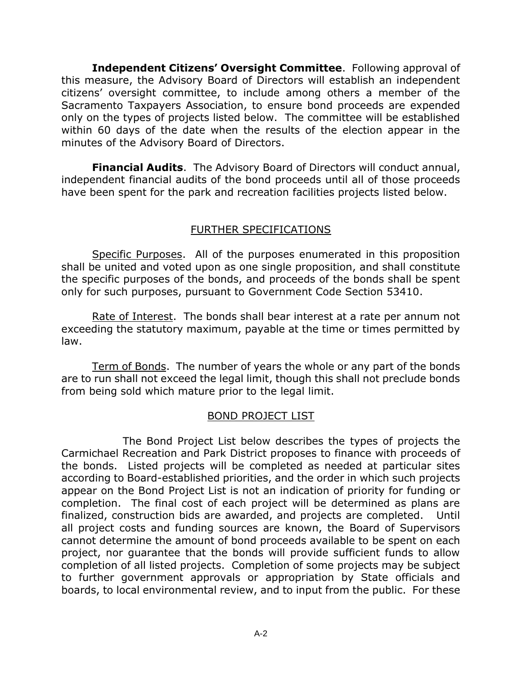**Independent Citizens' Oversight Committee**. Following approval of this measure, the Advisory Board of Directors will establish an independent citizens' oversight committee, to include among others a member of the Sacramento Taxpayers Association, to ensure bond proceeds are expended only on the types of projects listed below. The committee will be established within 60 days of the date when the results of the election appear in the minutes of the Advisory Board of Directors.

**Financial Audits**. The Advisory Board of Directors will conduct annual, independent financial audits of the bond proceeds until all of those proceeds have been spent for the park and recreation facilities projects listed below.

# FURTHER SPECIFICATIONS

Specific Purposes. All of the purposes enumerated in this proposition shall be united and voted upon as one single proposition, and shall constitute the specific purposes of the bonds, and proceeds of the bonds shall be spent only for such purposes, pursuant to Government Code Section 53410.

Rate of Interest. The bonds shall bear interest at a rate per annum not exceeding the statutory maximum, payable at the time or times permitted by law.

Term of Bonds. The number of years the whole or any part of the bonds are to run shall not exceed the legal limit, though this shall not preclude bonds from being sold which mature prior to the legal limit.

# BOND PROJECT LIST

The Bond Project List below describes the types of projects the Carmichael Recreation and Park District proposes to finance with proceeds of the bonds. Listed projects will be completed as needed at particular sites according to Board-established priorities, and the order in which such projects appear on the Bond Project List is not an indication of priority for funding or completion. The final cost of each project will be determined as plans are finalized, construction bids are awarded, and projects are completed. Until all project costs and funding sources are known, the Board of Supervisors cannot determine the amount of bond proceeds available to be spent on each project, nor guarantee that the bonds will provide sufficient funds to allow completion of all listed projects. Completion of some projects may be subject to further government approvals or appropriation by State officials and boards, to local environmental review, and to input from the public. For these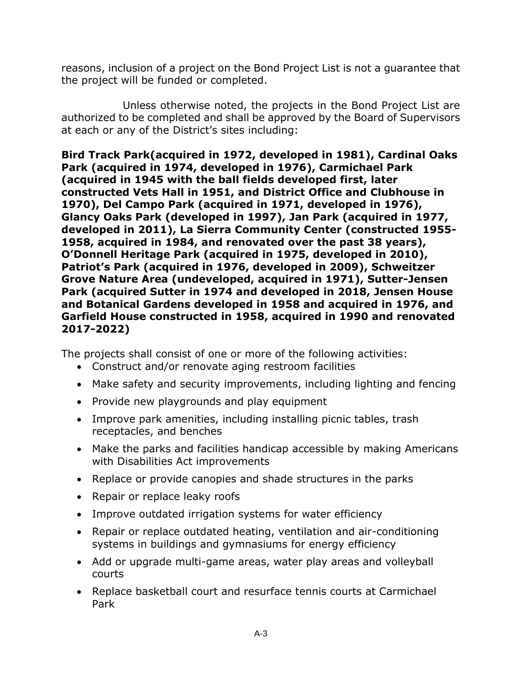reasons, inclusion of a project on the Bond Project List is not a guarantee that the project will be funded or completed.

Unless otherwise noted, the projects in the Bond Project List are authorized to be completed and shall be approved by the Board of Supervisors at each or any of the District's sites including:

**Bird Track Park(acquired in 1972, developed in 1981), Cardinal Oaks Park (acquired in 1974, developed in 1976), Carmichael Park (acquired in 1945 with the ball fields developed first, later constructed Vets Hall in 1951, and District Office and Clubhouse in 1970), Del Campo Park (acquired in 1971, developed in 1976), Glancy Oaks Park (developed in 1997), Jan Park (acquired in 1977, developed in 2011), La Sierra Community Center (constructed 1955- 1958, acquired in 1984, and renovated over the past 38 years), O'Donnell Heritage Park (acquired in 1975, developed in 2010), Patriot's Park (acquired in 1976, developed in 2009), Schweitzer Grove Nature Area (undeveloped, acquired in 1971), Sutter-Jensen Park (acquired Sutter in 1974 and developed in 2018, Jensen House and Botanical Gardens developed in 1958 and acquired in 1976, and Garfield House constructed in 1958, acquired in 1990 and renovated 2017-2022)**

The projects shall consist of one or more of the following activities:

- Construct and/or renovate aging restroom facilities
- Make safety and security improvements, including lighting and fencing
- Provide new playgrounds and play equipment
- Improve park amenities, including installing picnic tables, trash receptacles, and benches
- Make the parks and facilities handicap accessible by making Americans with Disabilities Act improvements
- Replace or provide canopies and shade structures in the parks
- Repair or replace leaky roofs
- Improve outdated irrigation systems for water efficiency
- Repair or replace outdated heating, ventilation and air-conditioning systems in buildings and gymnasiums for energy efficiency
- Add or upgrade multi-game areas, water play areas and volleyball courts
- Replace basketball court and resurface tennis courts at Carmichael Park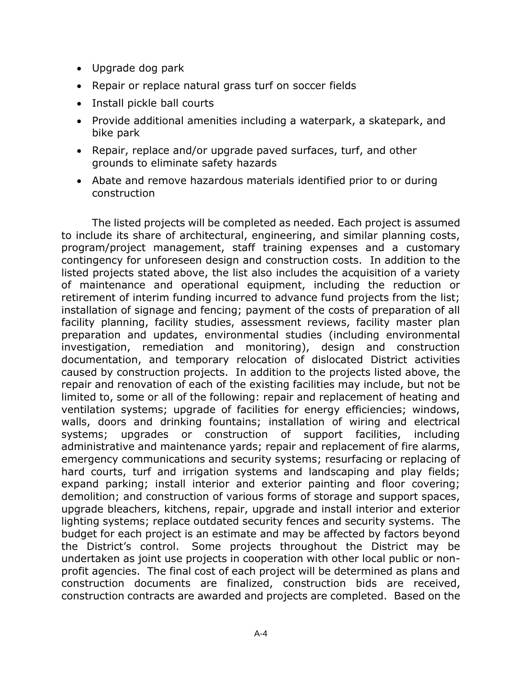- Upgrade dog park
- Repair or replace natural grass turf on soccer fields
- Install pickle ball courts
- Provide additional amenities including a waterpark, a skatepark, and bike park
- Repair, replace and/or upgrade paved surfaces, turf, and other grounds to eliminate safety hazards
- Abate and remove hazardous materials identified prior to or during construction

The listed projects will be completed as needed. Each project is assumed to include its share of architectural, engineering, and similar planning costs, program/project management, staff training expenses and a customary contingency for unforeseen design and construction costs. In addition to the listed projects stated above, the list also includes the acquisition of a variety of maintenance and operational equipment, including the reduction or retirement of interim funding incurred to advance fund projects from the list; installation of signage and fencing; payment of the costs of preparation of all facility planning, facility studies, assessment reviews, facility master plan preparation and updates, environmental studies (including environmental investigation, remediation and monitoring), design and construction documentation, and temporary relocation of dislocated District activities caused by construction projects. In addition to the projects listed above, the repair and renovation of each of the existing facilities may include, but not be limited to, some or all of the following: repair and replacement of heating and ventilation systems; upgrade of facilities for energy efficiencies; windows, walls, doors and drinking fountains; installation of wiring and electrical systems; upgrades or construction of support facilities, including administrative and maintenance yards; repair and replacement of fire alarms, emergency communications and security systems; resurfacing or replacing of hard courts, turf and irrigation systems and landscaping and play fields; expand parking; install interior and exterior painting and floor covering; demolition; and construction of various forms of storage and support spaces, upgrade bleachers, kitchens, repair, upgrade and install interior and exterior lighting systems; replace outdated security fences and security systems. The budget for each project is an estimate and may be affected by factors beyond the District's control. Some projects throughout the District may be undertaken as joint use projects in cooperation with other local public or nonprofit agencies. The final cost of each project will be determined as plans and construction documents are finalized, construction bids are received, construction contracts are awarded and projects are completed. Based on the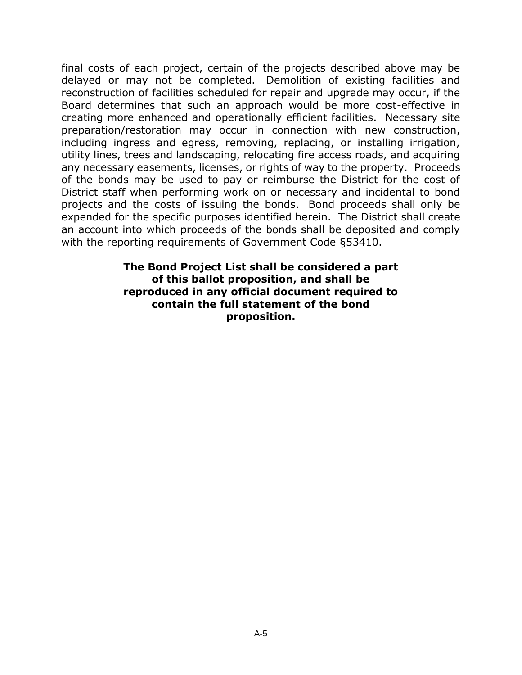final costs of each project, certain of the projects described above may be delayed or may not be completed. Demolition of existing facilities and reconstruction of facilities scheduled for repair and upgrade may occur, if the Board determines that such an approach would be more cost-effective in creating more enhanced and operationally efficient facilities. Necessary site preparation/restoration may occur in connection with new construction, including ingress and egress, removing, replacing, or installing irrigation, utility lines, trees and landscaping, relocating fire access roads, and acquiring any necessary easements, licenses, or rights of way to the property. Proceeds of the bonds may be used to pay or reimburse the District for the cost of District staff when performing work on or necessary and incidental to bond projects and the costs of issuing the bonds. Bond proceeds shall only be expended for the specific purposes identified herein. The District shall create an account into which proceeds of the bonds shall be deposited and comply with the reporting requirements of Government Code §53410.

> **The Bond Project List shall be considered a part of this ballot proposition, and shall be reproduced in any official document required to contain the full statement of the bond proposition.**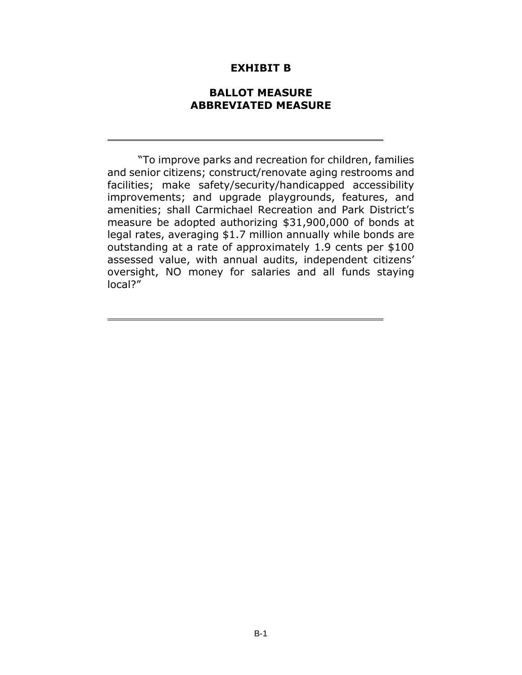#### **EXHIBIT B**

#### **BALLOT MEASURE ABBREVIATED MEASURE**

"To improve parks and recreation for children, families and senior citizens; construct/renovate aging restrooms and facilities; make safety/security/handicapped accessibility improvements; and upgrade playgrounds, features, and amenities; shall Carmichael Recreation and Park District's measure be adopted authorizing \$31,900,000 of bonds at legal rates, averaging \$1.7 million annually while bonds are outstanding at a rate of approximately 1.9 cents per \$100 assessed value, with annual audits, independent citizens' oversight, NO money for salaries and all funds staying local?"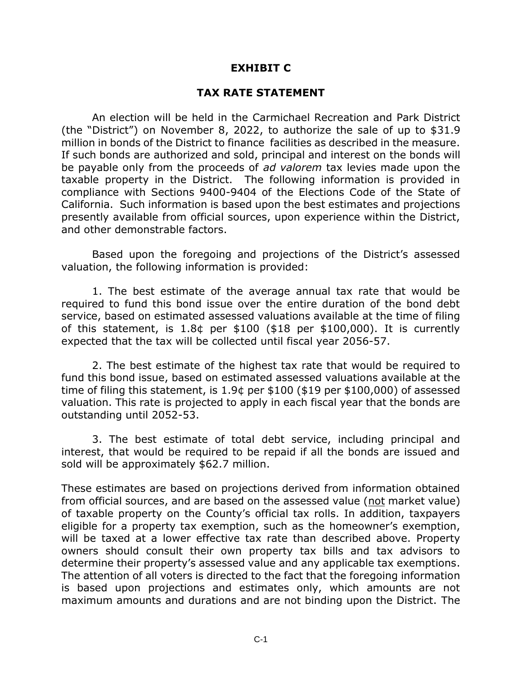# **EXHIBIT C**

#### **TAX RATE STATEMENT**

An election will be held in the Carmichael Recreation and Park District (the "District") on November 8, 2022, to authorize the sale of up to \$31.9 million in bonds of the District to finance facilities as described in the measure. If such bonds are authorized and sold, principal and interest on the bonds will be payable only from the proceeds of *ad valorem* tax levies made upon the taxable property in the District. The following information is provided in compliance with Sections 9400-9404 of the Elections Code of the State of California. Such information is based upon the best estimates and projections presently available from official sources, upon experience within the District, and other demonstrable factors.

Based upon the foregoing and projections of the District's assessed valuation, the following information is provided:

1. The best estimate of the average annual tax rate that would be required to fund this bond issue over the entire duration of the bond debt service, based on estimated assessed valuations available at the time of filing of this statement, is 1.8¢ per \$100 (\$18 per \$100,000). It is currently expected that the tax will be collected until fiscal year 2056-57.

2. The best estimate of the highest tax rate that would be required to fund this bond issue, based on estimated assessed valuations available at the time of filing this statement, is 1.9¢ per \$100 (\$19 per \$100,000) of assessed valuation. This rate is projected to apply in each fiscal year that the bonds are outstanding until 2052-53.

3. The best estimate of total debt service, including principal and interest, that would be required to be repaid if all the bonds are issued and sold will be approximately \$62.7 million.

These estimates are based on projections derived from information obtained from official sources, and are based on the assessed value (not market value) of taxable property on the County's official tax rolls. In addition, taxpayers eligible for a property tax exemption, such as the homeowner's exemption, will be taxed at a lower effective tax rate than described above. Property owners should consult their own property tax bills and tax advisors to determine their property's assessed value and any applicable tax exemptions. The attention of all voters is directed to the fact that the foregoing information is based upon projections and estimates only, which amounts are not maximum amounts and durations and are not binding upon the District. The